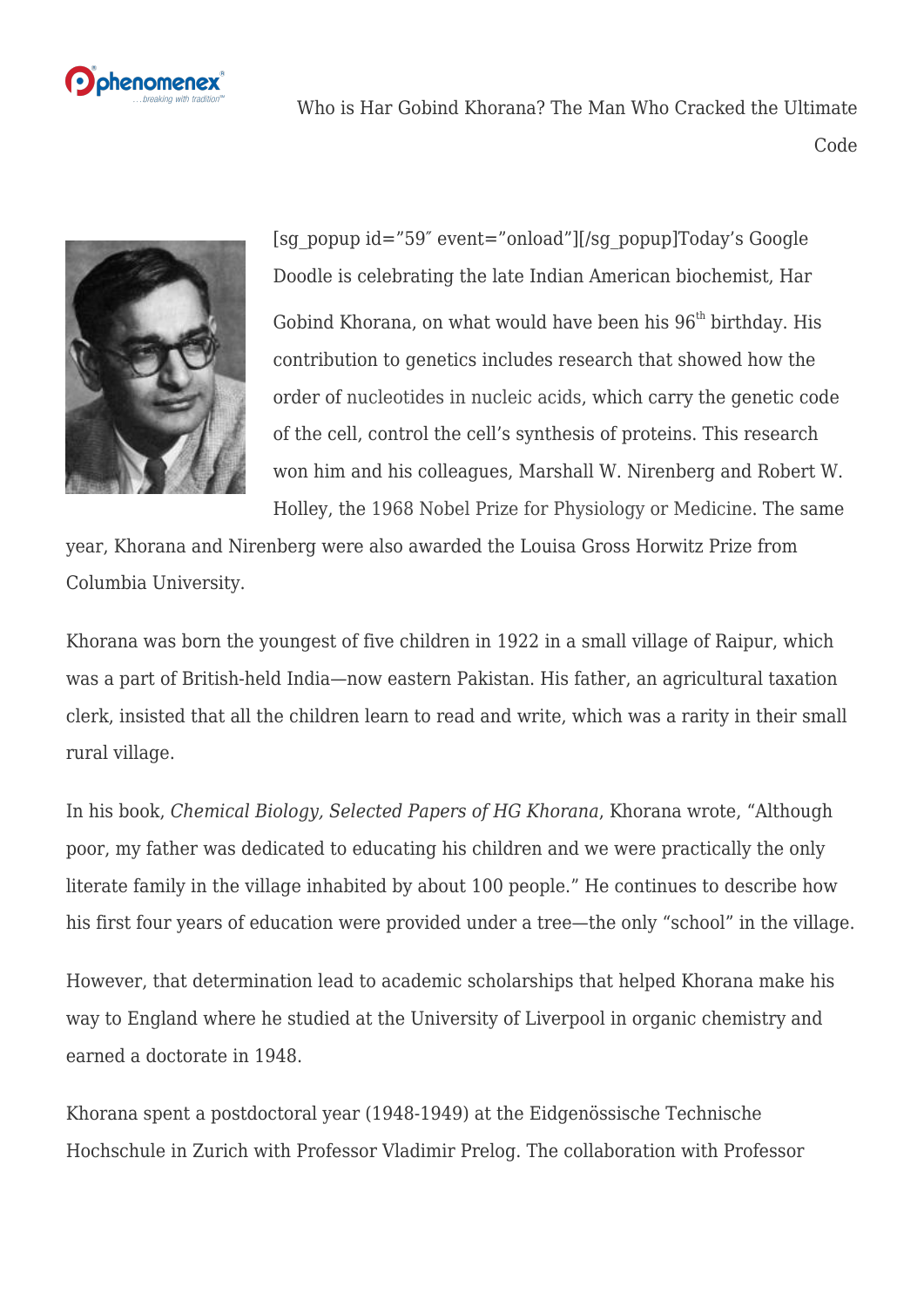

Who is Har Gobind Khorana? The Man Who Cracked the Ultimate Code



[sg\_popup id="59″ event="onload"][/sg\_popup]Today's Google Doodle is celebrating the late Indian American biochemist, Har Gobind Khorana, on what would have been his  $96<sup>th</sup>$  birthday. His contribution to genetics includes research that showed how the order o[f nucleotides in nucleic acids,](https://phenomenex.blog/2018/01/04/nucleotides/) which carry the genetic code of the cell, control the cell's synthesis of proteins. This research won him and his colleagues, Marshall W. Nirenberg and Robert W. Holley, the [1968 Nobel Prize for Physiology or Medicine.](https://www.nobelprize.org/nobel_prizes/medicine/laureates/1968/khorana-bio.html) The same

year, Khorana and Nirenberg were also awarded the Louisa Gross Horwitz Prize from Columbia University.

Khorana was born the youngest of five children in 1922 in a small village of Raipur, which was a part of British-held India—now eastern Pakistan. His father, an agricultural taxation clerk, insisted that all the children learn to read and write, which was a rarity in their small rural village.

In his book, *Chemical Biology, Selected Papers of HG Khorana*, Khorana wrote, "Although poor, my father was dedicated to educating his children and we were practically the only literate family in the village inhabited by about 100 people." He continues to describe how his first four years of education were provided under a tree—the only "school" in the village.

However, that determination lead to academic scholarships that helped Khorana make his way to England where he studied at the University of Liverpool in organic chemistry and earned a doctorate in 1948.

Khorana spent a postdoctoral year (1948-1949) at the Eidgenössische Technische Hochschule in Zurich with Professor Vladimir Prelog. The collaboration with Professor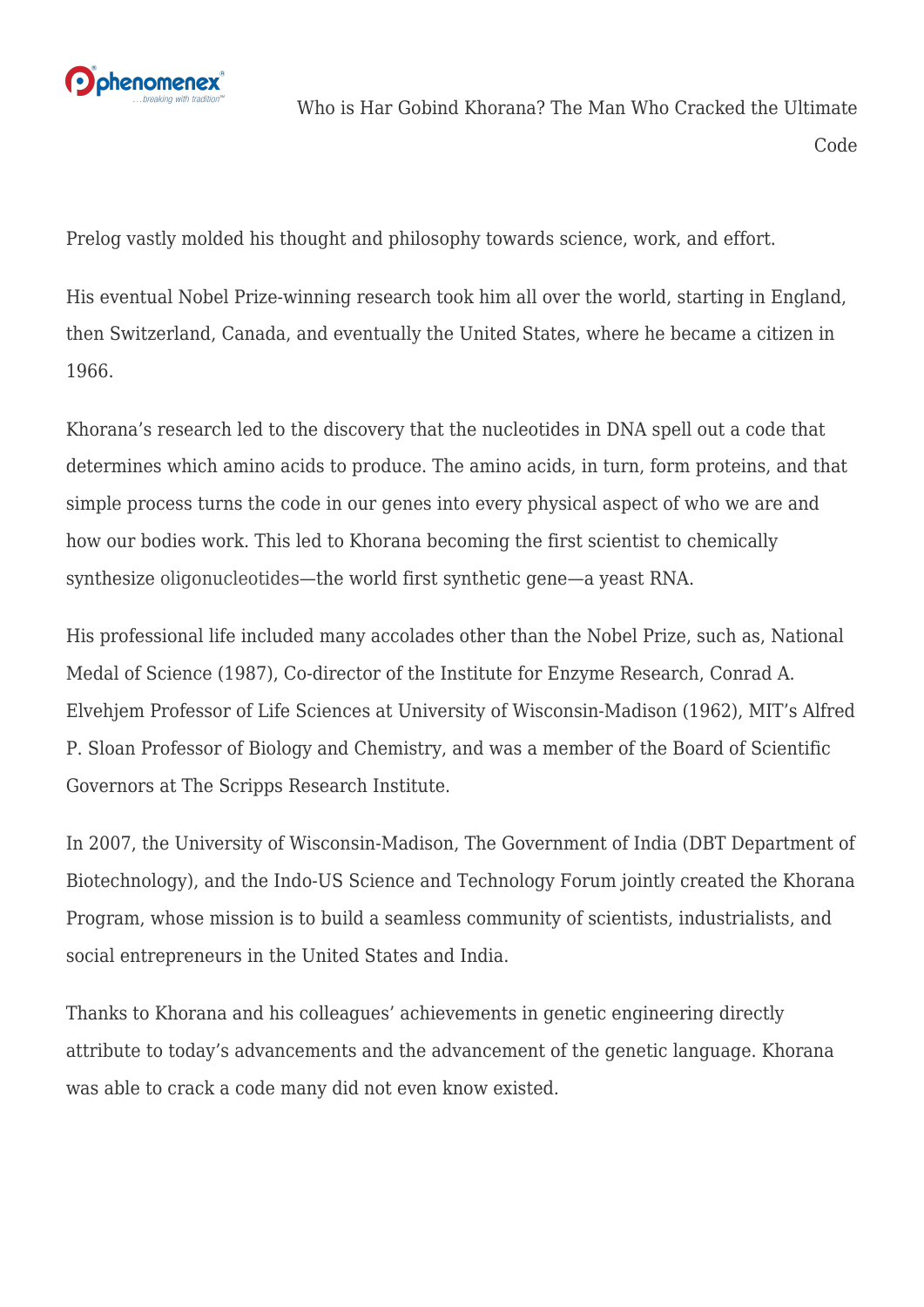

Who is Har Gobind Khorana? The Man Who Cracked the Ultimate Code

Prelog vastly molded his thought and philosophy towards science, work, and effort.

His eventual Nobel Prize-winning research took him all over the world, starting in England, then Switzerland, Canada, and eventually the United States, where he became a citizen in 1966.

Khorana's research led to the discovery that the nucleotides in DNA spell out a code that determines which amino acids to produce. The amino acids, in turn, form proteins, and that simple process turns the code in our genes into every physical aspect of who we are and how our bodies work. This led to Khorana becoming the first scientist to chemically synthesize [oligonucleotides](http://ow.ly/lqN930hG3pF)—the world first synthetic gene—a yeast RNA.

His professional life included many accolades other than the Nobel Prize, such as, National Medal of Science (1987), Co-director of the Institute for Enzyme Research, Conrad A. Elvehjem Professor of Life Sciences at University of Wisconsin-Madison (1962), MIT's Alfred P. Sloan Professor of Biology and Chemistry, and was a member of the Board of Scientific Governors at The Scripps Research Institute.

In 2007, the University of Wisconsin-Madison, The Government of India (DBT Department of Biotechnology), and the Indo-US Science and Technology Forum jointly created the Khorana Program, whose mission is to build a seamless community of scientists, industrialists, and social entrepreneurs in the United States and India.

Thanks to Khorana and his colleagues' achievements in genetic engineering directly attribute to today's advancements and the advancement of the genetic language. Khorana was able to crack a code many did not even know existed.